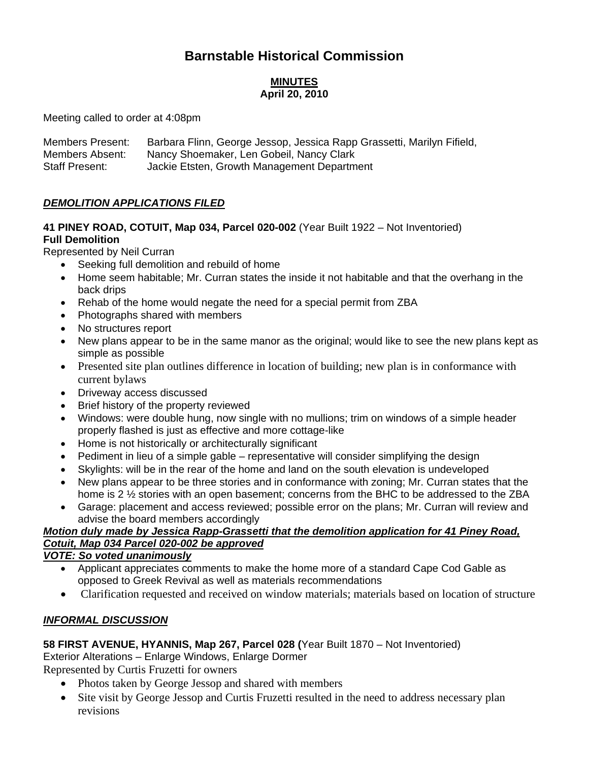# **Barnstable Historical Commission**

### **MINUTES April 20, 2010**

Meeting called to order at 4:08pm

| <b>Members Present:</b> | Barbara Flinn, George Jessop, Jessica Rapp Grassetti, Marilyn Fifield, |
|-------------------------|------------------------------------------------------------------------|
| Members Absent:         | Nancy Shoemaker, Len Gobeil, Nancy Clark                               |
| <b>Staff Present:</b>   | Jackie Etsten, Growth Management Department                            |

#### *DEMOLITION APPLICATIONS FILED*

# **41 PINEY ROAD, COTUIT, Map 034, Parcel 020-002** (Year Built 1922 – Not Inventoried) **Full Demolition**

Represented by Neil Curran

- Seeking full demolition and rebuild of home
- Home seem habitable; Mr. Curran states the inside it not habitable and that the overhang in the back drips
- Rehab of the home would negate the need for a special permit from ZBA
- Photographs shared with members
- No structures report
- New plans appear to be in the same manor as the original; would like to see the new plans kept as simple as possible
- Presented site plan outlines difference in location of building; new plan is in conformance with current bylaws
- Driveway access discussed
- Brief history of the property reviewed
- Windows: were double hung, now single with no mullions; trim on windows of a simple header properly flashed is just as effective and more cottage-like
- Home is not historically or architecturally significant
- Pediment in lieu of a simple gable representative will consider simplifying the design
- Skylights: will be in the rear of the home and land on the south elevation is undeveloped
- New plans appear to be three stories and in conformance with zoning; Mr. Curran states that the home is 2 ½ stories with an open basement; concerns from the BHC to be addressed to the ZBA
- Garage: placement and access reviewed; possible error on the plans; Mr. Curran will review and advise the board members accordingly

### *Motion duly made by Jessica Rapp-Grassetti that the demolition application for 41 Piney Road, Cotuit, Map 034 Parcel 020-002 be approved*

### *VOTE: So voted unanimously*

- Applicant appreciates comments to make the home more of a standard Cape Cod Gable as opposed to Greek Revival as well as materials recommendations
- Clarification requested and received on window materials; materials based on location of structure

### *INFORMAL DISCUSSION*

### **58 FIRST AVENUE, HYANNIS, Map 267, Parcel 028 (**Year Built 1870 – Not Inventoried)

Exterior Alterations – Enlarge Windows, Enlarge Dormer

Represented by Curtis Fruzetti for owners

- Photos taken by George Jessop and shared with members
- Site visit by George Jessop and Curtis Fruzetti resulted in the need to address necessary plan revisions